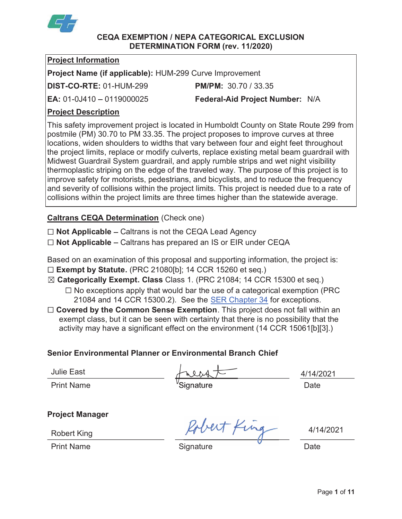

# CEQA EXEMPTION / NEPA CATEGORICAL EXCLUSION DETERMINATION FORM (rev. 11/2020)

# Project Information

Project Name (if applicable): HUM-299 Curve Improvement

DIST-CO-RTE: 01-HUM-299 PM/PM: 30.70 / 33.35

# **EA: 01-0J410 - 0119000025 Federal-Aid Project Number: N/A**

# Project Description

This safety improvement project is located in Humboldt County on State Route 299 from postmile (PM) 30.70 to PM 33.35. The project proposes to improve curves at three locations, widen shoulders to widths that vary between four and eight feet throughout the project limits, replace or modify culverts, replace existing metal beam guardrail with Midwest Guardrail System guardrail, and apply rumble strips and wet night visibility thermoplastic striping on the edge of the traveled way. The purpose of this project is to improve safety for motorists, pedestrians, and bicyclists, and to reduce the frequency and severity of collisions within the project limits. This project is needed due to a rate of collisions within the project limits are three times higher than the statewide average.

# Caltrans CEQA Determination (Check one)

Not Applicable - Caltrans is not the CEQA Lead Agency

Not Applicable - Caltrans has prepared an IS or EIR under CEQA

Based on an examination of this proposal and supporting information, the project is:  $\square$  Exempt by Statute. (PRC 21080[b]; 14 CCR 15260 et seq.)

- Categorically Exempt. Class Class 1. (PRC 21084; 14 CCR 15300 et seq.)
	- $\Box$  No exceptions apply that would bar the use of a categorical exemption (PRC) 21084 and 14 CCR 15300.2). See the SER Chapter 34 for exceptions.
- Covered by the Common Sense Exemption. This project does not fall within an exempt class, but it can be seen with certainty that there is no possibility that the activity may have a significant effect on the environment (14 CCR 15061[b][3].)

# Senior Environmental Planner or Environmental Branch Chief

Julie East  $\sqrt{114/2021}$ 

Print Name  $\sim$  Signature Signature Date

Sign

Project Manager

**Robert King** 

Print Name **Signature Signature Construction** Date

bert King  $4/14/2021$ 

Signature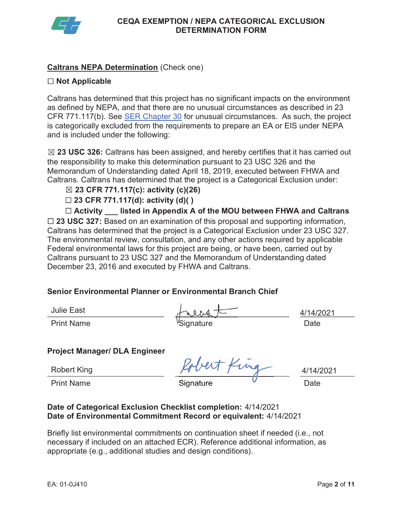

# Caltrans NEPA Determination (Check one)

# $\Box$  Not Applicable

Caltrans has determined that this project has no significant impacts on the environment as defined by NEPA, and that there are no unusual circumstances as described in 23 CFR 771.117(b). See **SER Chapter 30** for unusual circumstances. As such, the project is categorically excluded from the requirements to prepare an EA or EIS under NEPA and is included under the following:

 $\boxtimes$  23 USC 326: Caltrans has been assigned, and hereby certifies that it has carried out the responsibility to make this determination pursuant to 23 USC 326 and the Memorandum of Understanding dated April 18, 2019, executed between FHWA and Caltrans. Caltrans has determined that the project is a Categorical Exclusion under:

# $\boxtimes$  23 CFR 771.117(c): activity (c)(26)

# 23 CFR 771.117(d): activity (d)( )

 Activity \_\_\_ listed in Appendix A of the MOU between FHWA and Caltrans 23 USC 327: Based on an examination of this proposal and supporting information, Caltrans has determined that the project is a Categorical Exclusion under 23 USC 327.<br>The environmental review, consultation, and any other actions required by applicable<br>Federal environmental laws for this project are bei The environmental review, consultation, and any other actions required by applicable Federal environmental laws for this project are being, or have been, carried out by Caltrans pursuant to 23 USC 327 and the Memorandum of Understanding dated December 23, 2016 and executed by FHWA and Caltrans.

# Senior Environmental Planner or Environmental Branch Chief

| <b>Julie East</b> |                        |      |
|-------------------|------------------------|------|
| <b>Print Name</b> | <sup>v</sup> Signature | Date |

4/14/2021

# Project Manager/ DLA Engineer

**Robert King** 

Print Name ignoring Signature in the Date of Date

 $erf_{\mu\nu}$  4/14/2021

Signature

#### Date of Categorical Exclusion Checklist completion: 4/14/2021 Date of Environmental Commitment Record or equivalent: 4/14/2021

 necessary if included on an attached ECR). Reference additional information, as Briefly list environmental commitments on continuation sheet if needed (i.e., not appropriate (e.g., additional studies and design conditions).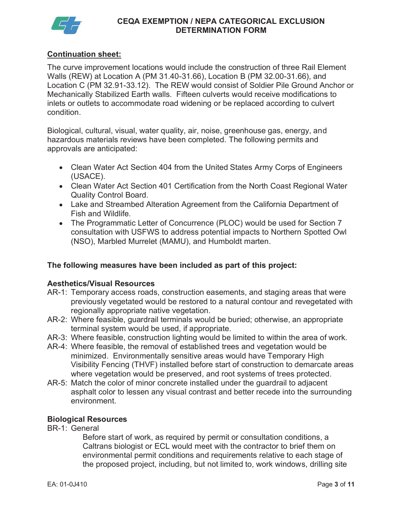

# Continuation sheet:

 Walls (REW) at Location A (PM [31.40-31.66\)](https://31.40-31.66), Location B (PM [32.00-31.66\)](https://32.00-31.66), and Location C (PM [32.91-33.12](https://32.91-33.12)). The REW would consist of Soldier Pile Ground Anchor or Mechanically Stabilized Earth walls. Fifteen culverts would receive modifications to inlets or outlets to accommodate road widening or be replaced according to culvert The curve improvement locations would include the construction of three Rail Element condition.

 Biological, cultural, visual, water quality, air, noise, greenhouse gas, energy, and hazardous materials reviews have been completed. The following permits and approvals are anticipated:

- Clean Water Act Section 404 from the United States Army Corps of Engineers (USACE).
- Clean Water Act Section 401 Certification from the North Coast Regional Water Quality Control Board.
- Fish and Wildlife. Lake and Streambed Alteration Agreement from the California Department of
- The Programmatic Letter of Concurrence (PLOC) would be used for Section 7 consultation with USFWS to address potential impacts to Northern Spotted Owl (NSO), Marbled Murrelet (MAMU), and Humboldt marten.

# The following measures have been included as part of this project:

#### Aesthetics/Visual Resources

- regionally appropriate native vegetation. AR-1: Temporary access roads, construction easements, and staging areas that were previously vegetated would be restored to a natural contour and revegetated with
- AR-2: Where feasible, guardrail terminals would be buried; otherwise, an appropriate terminal system would be used, if appropriate.
- AR-3: Where feasible, construction lighting would be limited to within the area of work.
- minimized. Environmentally sensitive areas would have Temporary High AR-4: Where feasible, the removal of established trees and vegetation would be Visibility Fencing (THVF) installed before start of construction to demarcate areas where vegetation would be preserved, and root systems of trees protected.
- AR-5: Match the color of minor concrete installed under the guardrail to adjacent asphalt color to lessen any visual contrast and better recede into the surrounding environment.

### Biological Resources

BR-1: General

BR-1: General<br>Before start of work, as required by permit or consultation conditions, a Caltrans biologist or ECL would meet with the contractor to brief them on environmental permit conditions and requirements relative to each stage of the proposed project, including, but not limited to, work windows, drilling site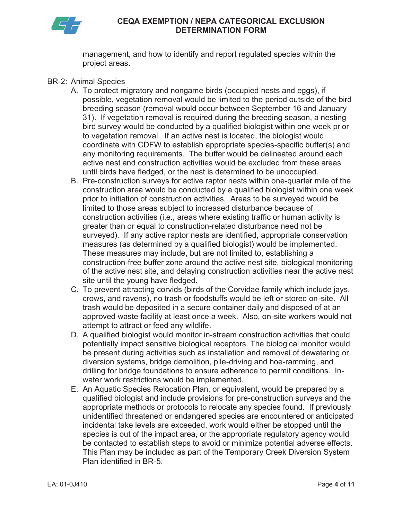

management, and how to identify and report regulated species within the project areas.

- BR-2: Animal Species
	- possible, vegetation removal would be limited to the period outside of the bird 31). If vegetation removal is required during the breeding season, a nesting A. To protect migratory and nongame birds (occupied nests and eggs), if breeding season (removal would occur between September 16 and January bird survey would be conducted by a qualified biologist within one week prior to vegetation removal. If an active nest is located, the biologist would coordinate with CDFW to establish appropriate species-specific buffer(s) and any monitoring requirements. The buffer would be delineated around each active nest and construction activities would be excluded from these areas until birds have fledged, or the nest is determined to be unoccupied.
	- prior to initiation of construction activities. Areas to be surveyed would be limited to those areas subject to increased disturbance because of measures (as determined by a qualified biologist) would be implemented. construction-free buffer zone around the active nest site, biological monitoring B. Pre-construction surveys for active raptor nests within one-quarter mile of the construction area would be conducted by a qualified biologist within one week construction activities (i.e., areas where existing traffic or human activity is greater than or equal to construction-related disturbance need not be surveyed). If any active raptor nests are identified, appropriate conservation These measures may include, but are not limited to, establishing a of the active nest site, and delaying construction activities near the active nest site until the young have fledged.
	- trash would be deposited in a secure container daily and disposed of at an approved waste facility at least once a week. Also, on-site workers would not C. To prevent attracting corvids (birds of the Corvidae family which include jays, crows, and ravens), no trash or foodstuffs would be left or stored on-site. All attempt to attract or feed any wildlife.
	- D. A qualified biologist would monitor in-stream construction activities that could potentially impact sensitive biological receptors. The biological monitor would be present during activities such as installation and removal of dewatering or diversion systems, bridge demolition, pile-driving and hoe-ramming, and drilling for bridge foundations to ensure adherence to permit conditions. Inwater work restrictions would be implemented.
	- appropriate methods or protocols to relocate any species found. If previously This Plan may be included as part of the Temporary Creek Diversion System Plan identified in BR-5. E. An Aquatic Species Relocation Plan, or equivalent, would be prepared by a qualified biologist and include provisions for pre-construction surveys and the unidentified threatened or endangered species are encountered or anticipated incidental take levels are exceeded, work would either be stopped until the species is out of the impact area, or the appropriate regulatory agency would be contacted to establish steps to avoid or minimize potential adverse effects.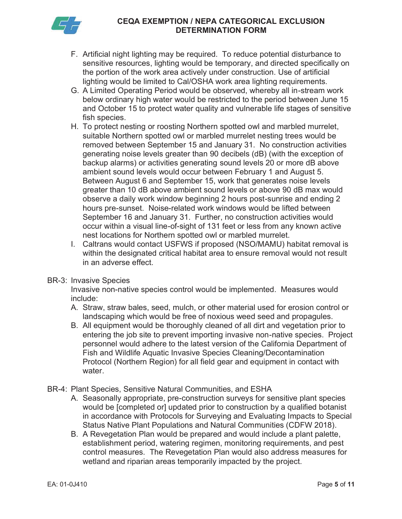

- F. Artificial night lighting may be required. To reduce potential disturbance to sensitive resources, lighting would be temporary, and directed specifically on the portion of the work area actively under construction. Use of artificial lighting would be limited to Cal/OSHA work area lighting requirements.
- G. A Limited Operating Period would be observed, whereby all in-stream work and October 15 to protect water quality and vulnerable life stages of sensitive below ordinary high water would be restricted to the period between June 15 fish species.
- generating noise levels greater than 90 decibels (dB) (with the exception of backup alarms) or activities generating sound levels 20 or more dB above ambient sound levels would occur between February 1 and August 5.<br>Between August 6 and September 15, work that generates noise levels greater than 10 dB above ambient sound levels or above 90 dB max would occur within a visual line-of-sight of 131 feet or less from any known active H. To protect nesting or roosting Northern spotted owl and marbled murrelet, suitable Northern spotted owl or marbled murrelet nesting trees would be removed between September 15 and January 31. No construction activities observe a daily work window beginning 2 hours post-sunrise and ending 2 hours pre-sunset. Noise-related work windows would be lifted between September 16 and January 31. Further, no construction activities would nest locations for Northern spotted owl or marbled murrelet.
- within the designated critical habitat area to ensure removal would not result in an adverse effect. I. Caltrans would contact USFWS if proposed (NSO/MAMU) habitat removal is
- BR-3: Invasive Species

 Invasive non-native species control would be implemented. Measures would include:

- include:<br>A. Straw, straw bales, seed, mulch, or other material used for erosion control or landscaping which would be free of noxious weed seed and propagules.
- entering the job site to prevent importing invasive non-native species. Project water. B. All equipment would be thoroughly cleaned of all dirt and vegetation prior to personnel would adhere to the latest version of the California Department of Fish and Wildlife Aquatic Invasive Species Cleaning/Decontamination Protocol (Northern Region) for all field gear and equipment in contact with
- BR-4: Plant Species, Sensitive Natural Communities, and ESHA
	- A. Seasonally appropriate, pre-construction surveys for sensitive plant species would be [completed or] updated prior to construction by a qualified botanist in accordance with Protocols for Surveying and Evaluating Impacts to Special Status Native Plant Populations and Natural Communities (CDFW 2018).
	- B. A Revegetation Plan would be prepared and would include a plant palette, wetland and riparian areas temporarily impacted by the project. establishment period, watering regimen, monitoring requirements, and pest control measures. The Revegetation Plan would also address measures for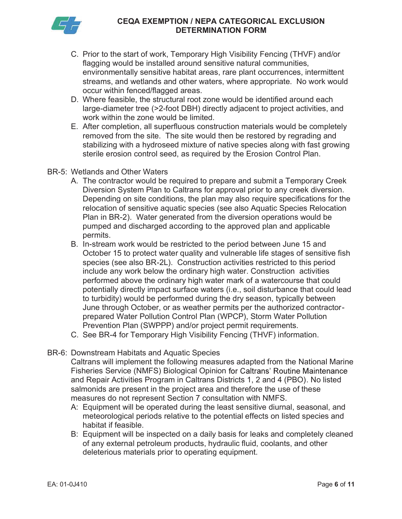

- environmentally sensitive habitat areas, rare plant occurrences, intermittent C. Prior to the start of work, Temporary High Visibility Fencing (THVF) and/or flagging would be installed around sensitive natural communities, streams, and wetlands and other waters, where appropriate. No work would occur within fenced/flagged areas.
- D. Where feasible, the structural root zone would be identified around each large-diameter tree (>2-foot DBH) directly adjacent to project activities, and work within the zone would be limited.
- E. After completion, all superfluous construction materials would be completely removed from the site. The site would then be restored by regrading and sterile erosion control seed, as required by the Erosion Control Plan. stabilizing with a hydroseed mixture of native species along with fast growing
- BR-5: Wetlands and Other Waters
	- A. The contractor would be required to prepare and submit a Temporary Creek Diversion System Plan to Caltrans for approval prior to any creek diversion. Depending on site conditions, the plan may also require specifications for the Plan in BR-2). Water generated from the diversion operations would be relocation of sensitive aquatic species (see also Aquatic Species Relocation pumped and discharged according to the approved plan and applicable permits.
	- B. In-stream work would be restricted to the period between June 15 and include any work below the ordinary high water. Construction activities potentially directly impact surface waters (i.e., soil disturbance that could lead June through October, or as weather permits per the authorized contractor- Prevention Plan (SWPPP) and/or project permit requirements. October 15 to protect water quality and vulnerable life stages of sensitive fish species (see also BR-2L). Construction activities restricted to this period performed above the ordinary high water mark of a watercourse that could to turbidity) would be performed during the dry season, typically between prepared Water Pollution Control Plan (WPCP), Storm Water Pollution
	- C. See BR-4 for Temporary High Visibility Fencing (THVF) information.

#### BR-6: Downstream Habitats and Aquatic Species

 Caltrans will implement the following measures adapted from the National Marine salmonids are present in the project area and therefore the use of these measures do not represent Section 7 consultation with NMFS. Fisheries Service (NMFS) Biological Opinion and Repair Activities Program in Caltrans Districts 1, 2 and 4 (PBO). No listed

- A: Equipment will be operated during the least sensitive diurnal, seasonal, and meteorological periods relative to the potential effects on listed species and habitat if feasible.
- B: Equipment will be inspected on a daily basis for leaks and completely cleaned of any external petroleum products, hydraulic fluid, coolants, and other deleterious materials prior to operating equipment.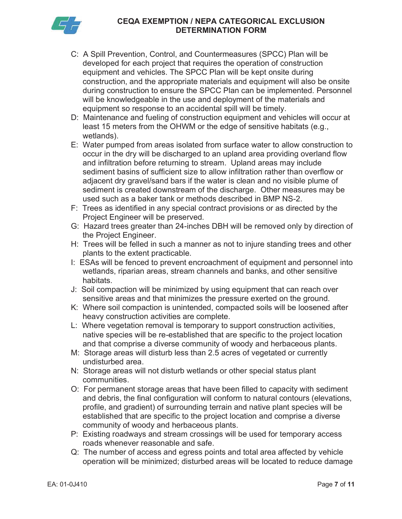

- C: A Spill Prevention, Control, and Countermeasures (SPCC) Plan will be construction, and the appropriate materials and equipment will also be onsite developed for each project that requires the operation of construction equipment and vehicles. The SPCC Plan will be kept onsite during during construction to ensure the SPCC Plan can be implemented. Personnel will be knowledgeable in the use and deployment of the materials and equipment so response to an accidental spill will be timely.
- D: Maintenance and fueling of construction equipment and vehicles will occur at least 15 meters from the OHWM or the edge of sensitive habitats (e.g., wetlands).
- E: Water pumped from areas isolated from surface water to allow construction to occur in the dry will be discharged to an upland area providing overland flow and infiltration before returning to stream. Upland areas may include sediment basins of sufficient size to allow infiltration rather than overflow or sediment is created downstream of the discharge. Other measures may be used such as a baker tank or methods described in BMP NS-2. adjacent dry gravel/sand bars if the water is clean and no visible plume of
- F: Trees as identified in any special contract provisions or as directed by the Project Engineer will be preserved.
- G: Hazard trees greater than 24-inches DBH will be removed only by direction of the Project Engineer.
- H: Trees will be felled in such a manner as not to injure standing trees and other plants to the extent practicable.
- wetlands, riparian areas, stream channels and banks, and other sensitive I: ESAs will be fenced to prevent encroachment of equipment and personnel into habitats.
- J: Soil compaction will be minimized by using equipment that can reach over sensitive areas and that minimizes the pressure exerted on the ground.
- K: Where soil compaction is unintended, compacted soils will be loosened after heavy construction activities are complete.
- native species will be re-established that are specific to the project location and that comprise a diverse community of woody and herbaceous plants. L: Where vegetation removal is temporary to support construction activities,
- M: Storage areas will disturb less than 2.5 acres of vegetated or currently undisturbed area.
- N: Storage areas will not disturb wetlands or other special status plant communities.
- O: For permanent storage areas that have been filled to capacity with sediment and debris, the final configuration will conform to natural contours (elevations, profile, and gradient) of surrounding terrain and native plant species will be established that are specific to the project location and comprise a diverse community of woody and herbaceous plants.
- P: Existing roadways and stream crossings will be used for temporary access roads whenever reasonable and safe.
- Q: The number of access and egress points and total area affected by vehicle operation will be minimized; disturbed areas will be located to reduce damage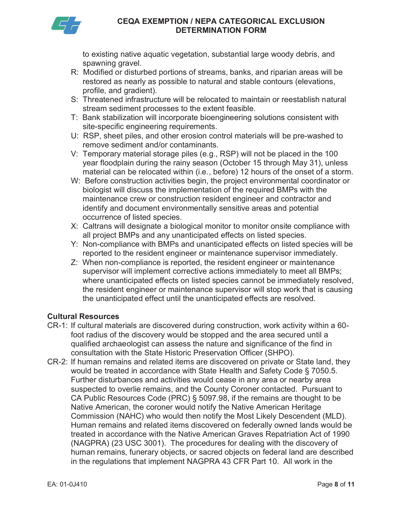

 to existing native aquatic vegetation, substantial large woody debris, and spawning gravel.

- R: Modified or disturbed portions of streams, banks, and riparian areas will be restored as nearly as possible to natural and stable contours (elevations, profile, and gradient).
- S: Threatened infrastructure will be relocated to maintain or reestablish natural stream sediment processes to the extent feasible.
- T: Bank stabilization will incorporate bioengineering solutions consistent with site-specific engineering requirements.
- U: RSP, sheet piles, and other erosion control materials will be pre-washed to remove sediment and/or contaminants.
- V: Temporary material storage piles (e.g., RSP) will not be placed in the 100 material can be relocated within (i.e., before) 12 hours of the onset of a storm. year floodplain during the rainy season (October 15 through May 31), unless
- W: Before construction activities begin, the project environmental coordinator or biologist will discuss the implementation of the required BMPs with the maintenance crew or construction resident engineer and contractor and identify and document environmentally sensitive areas and potential occurrence of listed species.
- X: Caltrans will designate a biological monitor to monitor onsite compliance with all project BMPs and any unanticipated effects on listed species.
- Y: Non-compliance with BMPs and unanticipated effects on listed species will be reported to the resident engineer or maintenance supervisor immediately.
- Z: When non-compliance is reported, the resident engineer or maintenance where unanticipated effects on listed species cannot be immediately resolved, the unanticipated effect until the unanticipated effects are resolved. supervisor will implement corrective actions immediately to meet all BMPs; the resident engineer or maintenance supervisor will stop work that is causing

# Cultural Resources

- qualified archaeologist can assess the nature and significance of the find in consultation with the State Historic Preservation Officer (SHPO). CR-1: If cultural materials are discovered during construction, work activity within a 60 foot radius of the discovery would be stopped and the area secured until a
- would be treated in accordance with State Health and Safety Code § 7050.5.<br>Further disturbances and activities would cease in any area or nearby area suspected to overlie remains, and the County Coroner contacted. Pursuant to Commission (NAHC) who would then notify the Most Likely Descendent (MLD). treated in accordance with the Native American Graves Repatriation Act of 1990 CR-2: If human remains and related items are discovered on private or State land, they CA Public Resources Code (PRC) § 5097.98, if the remains are thought to be Native American, the coroner would notify the Native American Heritage Human remains and related items discovered on federally owned lands would be (NAGPRA) (23 USC 3001). The procedures for dealing with the discovery of human remains, funerary objects, or sacred objects on federal land are described in the regulations that implement NAGPRA 43 CFR Part 10. All work in the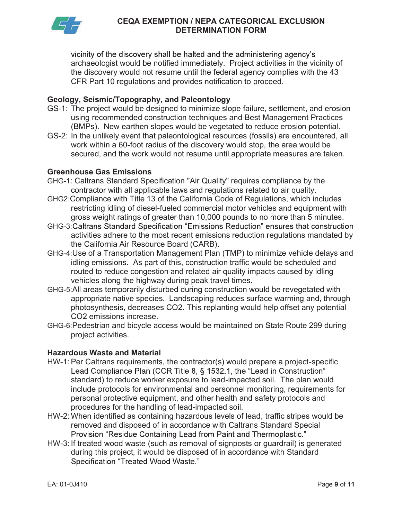

vicinity of the discovery shall be halted and the administering agency's archaeologist would be notified immediately. Project activities in the vicinity of the discovery would not resume until the federal agency complies with the 43 CFR Part 10 regulations and provides notification to proceed.

# Geology, Seismic/Topography, and Paleontology

- using recommended construction techniques and Best Management Practices (BMPs). New earthen slopes would be vegetated to reduce erosion potential. GS-1: The project would be designed to minimize slope failure, settlement, and erosion
- work within a 60-foot radius of the discovery would stop, the area would be GS-2: In the unlikely event that paleontological resources (fossils) are encountered, all secured, and the work would not resume until appropriate measures are taken.

# Greenhouse Gas Emissions

- GHG-1: Caltrans Standard Specification "Air Quality" requires compliance by the contractor with all applicable laws and regulations related to air quality.
- GHG2:Compliance with Title 13 of the California Code of Regulations, which includes restricting idling of diesel-fueled commercial motor vehicles and equipment with gross weight ratings of greater than 10,000 pounds to no more than 5 minutes.
- GHG-3: Caltrans Standard Specification "Emissions Reduction" ensures that construction activities adhere to the most recent emissions reduction regulations mandated by the California Air Resource Board (CARB).
- GHG-4:Use of a Transportation Management Plan (TMP) to minimize vehicle delays and idling emissions. As part of this, construction traffic would be scheduled and routed to reduce congestion and related air quality impacts caused by idling vehicles along the highway during peak travel times.
- GHG-5:All areas temporarily disturbed during construction would be revegetated with appropriate native species. Landscaping reduces surface warming and, through photosynthesis, decreases CO2. This replanting would help offset any potential CO2 emissions increase.
- GHG-6:Pedestrian and bicycle access would be maintained on State Route 299 during project activities.

# Hazardous Waste and Material

- HW-1: Per Caltrans requirements, the contractor(s) would prepare a project-specific Lead Compliance Plan (CCR Title 8, § 1532.1, the "Lead in Construction" standard) to reduce worker exposure to lead-impacted soil. The plan would include protocols for environmental and personnel monitoring, requirements for personal protective equipment, and other health and safety protocols and procedures for the handling of lead-impacted soil.
- HW-2: When identified as containing hazardous levels of lead, traffic stripes would be removed and disposed of in accordance with Caltrans Standard Special Provision "Residue Containing Lead from Paint and Thermoplastic."
- HW-3: If treated wood waste (such as removal of signposts or guardrail) is generated during this project, it would be disposed of in accordance with Standard Specification "Treated Wood Waste."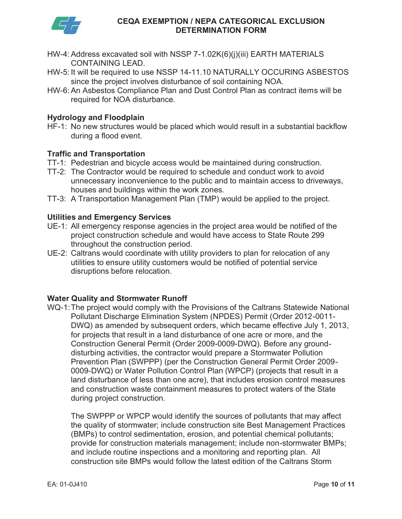

- HW-4: Address excavated soil with NSSP 7-1.02K(6)(j)(iii) EARTH MATERIALS CONTAINING LEAD.
- HW-5: It will be required to use NSSP [14-11.10](https://14-11.10) NATURALLY OCCURING ASBESTOS since the project involves disturbance of soil containing NOA.
- HW-6: An Asbestos Compliance Plan and Dust Control Plan as contract items will be required for NOA disturbance.

#### Hydrology and Floodplain

HF-1: No new structures would be placed which would result in a substantial backflow during a flood event.

#### Traffic and Transportation

- TT-1: Pedestrian and bicycle access would be maintained during construction.
- TT-2: The Contractor would be required to schedule and conduct work to avoid unnecessary inconvenience to the public and to maintain access to driveways, houses and buildings within the work zones.
- TT-3: A Transportation Management Plan (TMP) would be applied to the project.

#### Utilities and Emergency Services

- UE-1: All emergency response agencies in the project area would be notified of the project construction schedule and would have access to State Route 299 throughout the construction period.
- disruptions before relocation. UE-2: Caltrans would coordinate with utility providers to plan for relocation of any utilities to ensure utility customers would be notified of potential service

# Water Quality and Stormwater Runoff

 Pollutant Discharge Elimination System (NPDES) Permit (Order 2012-0011- 0009-DWQ) or Water Pollution Control Plan (WPCP) (projects that result in a land disturbance of less than one acre), that includes erosion control measures WQ-1:The project would comply with the Provisions of the Caltrans Statewide National DWQ) as amended by subsequent orders, which became effective July 1, 2013, for projects that result in a land disturbance of one acre or more, and the Construction General Permit (Order 2009-0009-DWQ). Before any grounddisturbing activities, the contractor would prepare a Stormwater Pollution Prevention Plan (SWPPP) (per the Construction General Permit Order 2009 and construction waste containment measures to protect waters of the State during project construction.

The SWPPP or WPCP would identify the sources of pollutants that may affect the quality of stormwater; include construction site Best Management Practices (BMPs) to control sedimentation, erosion, and potential chemical pollutants; provide for construction materials management; include non-stormwater BMPs; and include routine inspections and a monitoring and reporting plan. All construction site BMPs would follow the latest edition of the Caltrans Storm